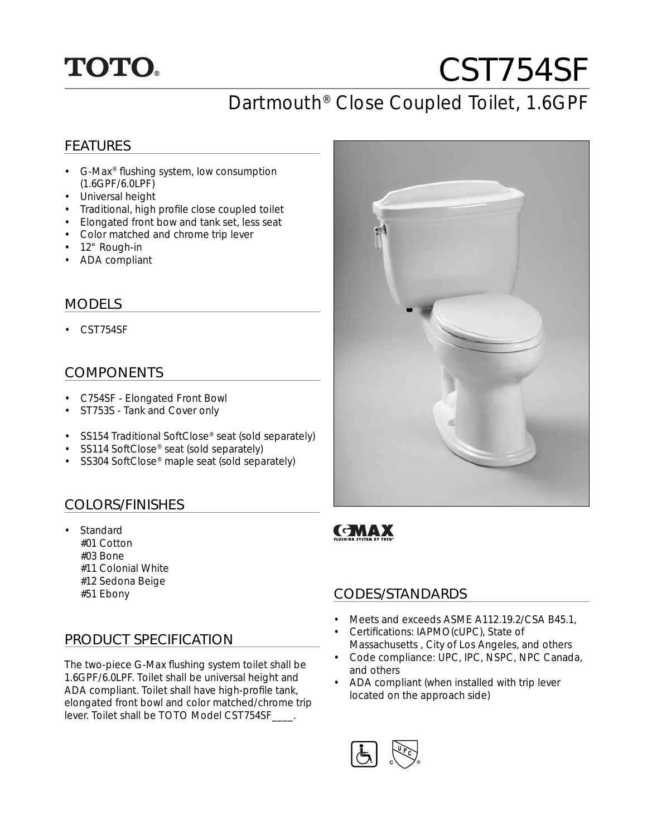## **TOTO.**

# CST754SF

## Dartmouth® Close Coupled Toilet, 1.6GPF

#### FEATURES

- G-Max<sup>®</sup> flushing system, low consumption (1.6GPF/6.0LPF)
- Universal height
- Traditional, high profile close coupled toilet
- Elongated front bow and tank set, less seat
- Color matched and chrome trip lever
- 12" Rough-in
- ADA compliant

#### MODELS

• CST754SF

#### COMPONENTS

- C754SF Elongated Front Bowl
- ST753S Tank and Cover only
- SS154 Traditional SoftClose® seat (sold separately)
- SS114 SoftClose<sup>®</sup> seat (sold separately)
- SS304 SoftClose® maple seat (sold separately)

#### COLORS/FINISHES

- Standard #01 Cotton #03 Bone #11 Colonial White #12 Sedona Beige
	- #51 Ebony

#### PRODUCT SPECIFICATION

The two-piece G-Max flushing system toilet shall be 1.6GPF/6.0LPF. Toilet shall be universal height and ADA compliant. Toilet shall have high-profile tank, elongated front bowl and color matched/chrome trip lever. Toilet shall be TOTO Model CST754SF\_\_\_\_.



## **GMAX**

#### CODES/STANDARDS

- Meets and exceeds ASME A112.19.2/CSA B45.1,
- Certifications: IAPMO(cUPC), State of Massachusetts , City of Los Angeles, and others
- Code compliance: UPC, IPC, NSPC, NPC Canada, and others
- ADA compliant (when installed with trip lever located on the approach side)